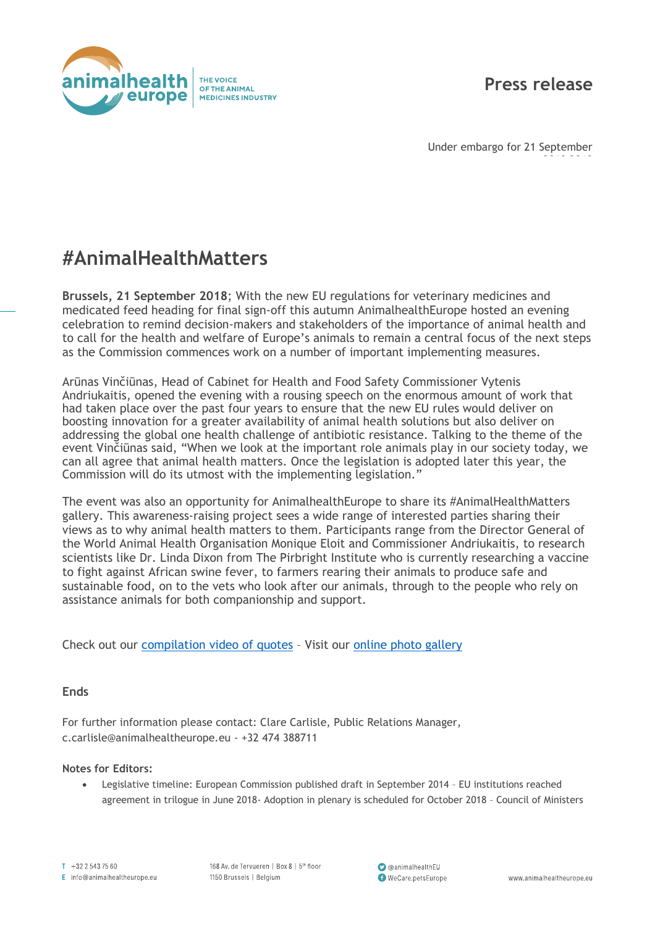

## **Press release**

2018 2018

Under embargo for 21 September

## **#AnimalHealthMatters**

**Brussels, 21 September 2018**; With the new EU regulations for veterinary medicines and medicated feed heading for final sign-off this autumn AnimalhealthEurope hosted an evening celebration to remind decision-makers and stakeholders of the importance of animal health and to call for the health and welfare of Europe's animals to remain a central focus of the next steps as the Commission commences work on a number of important implementing measures.

Arūnas Vinčiūnas, Head of Cabinet for Health and Food Safety Commissioner Vytenis Andriukaitis, opened the evening with a rousing speech on the enormous amount of work that had taken place over the past four years to ensure that the new EU rules would deliver on boosting innovation for a greater availability of animal health solutions but also deliver on addressing the global one health challenge of antibiotic resistance. Talking to the theme of the event Vinčiūnas said, "When we look at the important role animals play in our society today, we can all agree that animal health matters. Once the legislation is adopted later this year, the Commission will do its utmost with the implementing legislation."

The event was also an opportunity for AnimalhealthEurope to share its #AnimalHealthMatters gallery. This awareness-raising project sees a wide range of interested parties sharing their views as to why animal health matters to them. Participants range from the Director General of the World Animal Health Organisation Monique Eloit and Commissioner Andriukaitis, to research scientists like Dr. Linda Dixon from The Pirbright Institute who is currently researching a vaccine to fight against African swine fever, to farmers rearing their animals to produce safe and sustainable food, on to the vets who look after our animals, through to the people who rely on assistance animals for both companionship and support.

Check out our [compilation video](https://www.youtube.com/watch?v=DHCaCm2rRBQ) of quotes – Visit our [online photo](https://animalhealtheurope.eu/voicesofanimalhealth.html#images) gallery

## **Ends**

For further information please contact: Clare Carlisle, Public Relations Manager, c.carlisle@animalhealtheurope.eu - +32 474 388711

## **Notes for Editors:**

• Legislative timeline: European Commission published draft in September 2014 – EU institutions reached agreement in trilogue in June 2018- Adoption in plenary is scheduled for October 2018 – Council of Ministers

 $T + 3225437560$ E info@animalhealtheurope.eu 168 Av. de Tervueren | Box 8 | 5th floor 1150 Brussels | Belgium

comimalhealthEU WeCare.petsEurope